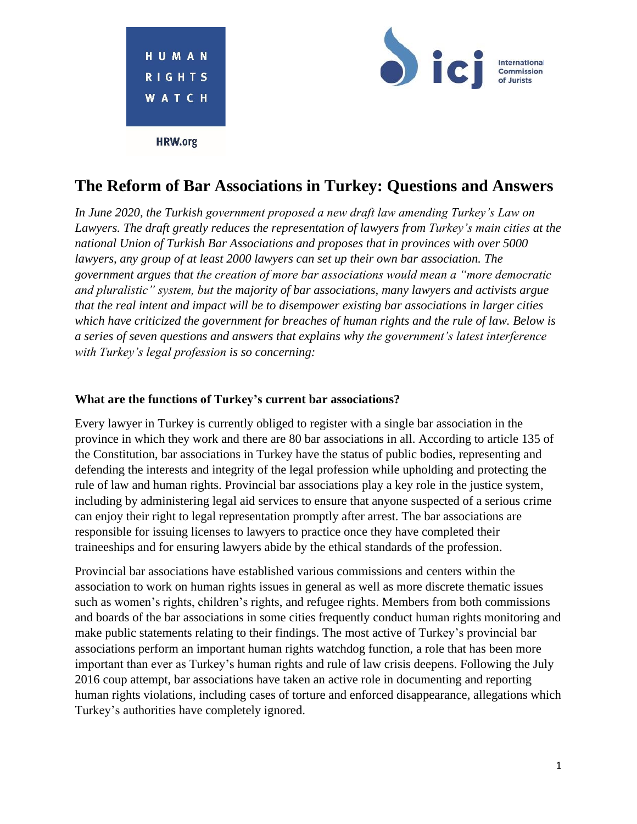

# **The Reform of Bar Associations in Turkey: Questions and Answers**

*In June 2020, the Turkish government proposed a new draft law amending Turkey's Law on Lawyers. The draft greatly reduces the representation of lawyers from Turkey's main cities at the national Union of Turkish Bar Associations and proposes that in provinces with over 5000 lawyers, any group of at least 2000 lawyers can set up their own bar association. The government argues that the creation of more bar associations would mean a "more democratic and pluralistic" system, but the majority of bar associations, many lawyers and activists argue that the real intent and impact will be to disempower existing bar associations in larger cities which have criticized the government for breaches of human rights and the rule of law. Below is a series of seven questions and answers that explains why the government's latest interference with Turkey's legal profession is so concerning:*

#### **What are the functions of Turkey's current bar associations?**

Every lawyer in Turkey is currently obliged to register with a single bar association in the province in which they work and there are 80 bar associations in all. According to article 135 of the Constitution, bar associations in Turkey have the status of public bodies, representing and defending the interests and integrity of the legal profession while upholding and protecting the rule of law and human rights. Provincial bar associations play a key role in the justice system, including by administering legal aid services to ensure that anyone suspected of a serious crime can enjoy their right to legal representation promptly after arrest. The bar associations are responsible for issuing licenses to lawyers to practice once they have completed their traineeships and for ensuring lawyers abide by the ethical standards of the profession.

Provincial bar associations have established various commissions and centers within the association to work on human rights issues in general as well as more discrete thematic issues such as women's rights, children's rights, and refugee rights. Members from both commissions and boards of the bar associations in some cities frequently conduct human rights monitoring and make public statements relating to their findings. The most active of Turkey's provincial bar associations perform an important human rights watchdog function, a role that has been more important than ever as Turkey's human rights and rule of law crisis deepens. Following the July 2016 coup attempt, bar associations have taken an active role in documenting and reporting human rights violations, including cases of torture and enforced disappearance, allegations which Turkey's authorities have completely ignored.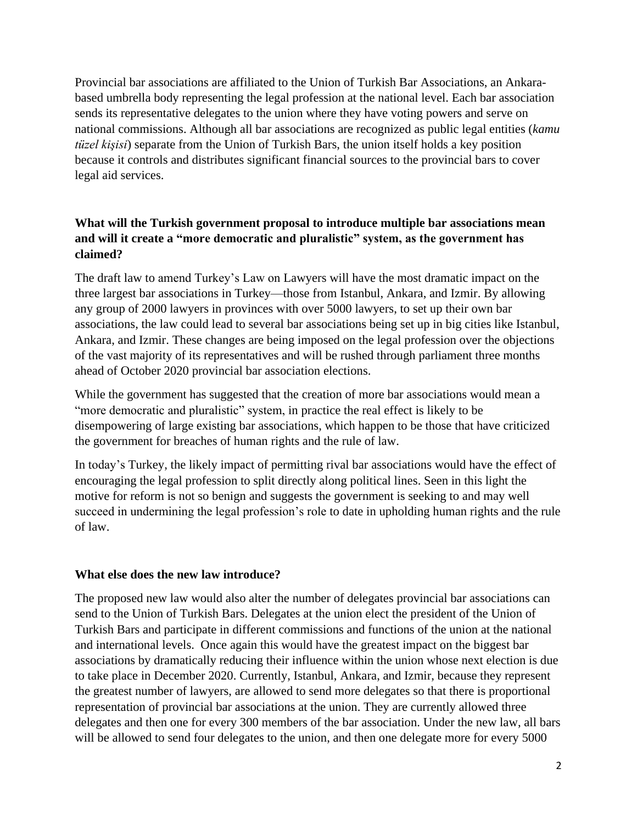Provincial bar associations are affiliated to the Union of Turkish Bar Associations, an Ankarabased umbrella body representing the legal profession at the national level. Each bar association sends its representative delegates to the union where they have voting powers and serve on national commissions. Although all bar associations are recognized as public legal entities (*kamu tüzel kişisi*) separate from the Union of Turkish Bars, the union itself holds a key position because it controls and distributes significant financial sources to the provincial bars to cover legal aid services.

## **What will the Turkish government proposal to introduce multiple bar associations mean and will it create a "more democratic and pluralistic" system, as the government has claimed?**

The draft law to amend Turkey's Law on Lawyers will have the most dramatic impact on the three largest bar associations in Turkey—those from Istanbul, Ankara, and Izmir. By allowing any group of 2000 lawyers in provinces with over 5000 lawyers, to set up their own bar associations, the law could lead to several bar associations being set up in big cities like Istanbul, Ankara, and Izmir. These changes are being imposed on the legal profession over the objections of the vast majority of its representatives and will be rushed through parliament three months ahead of October 2020 provincial bar association elections.

While the government has suggested that the creation of more bar associations would mean a "more democratic and pluralistic" system, in practice the real effect is likely to be disempowering of large existing bar associations, which happen to be those that have criticized the government for breaches of human rights and the rule of law.

In today's Turkey, the likely impact of permitting rival bar associations would have the effect of encouraging the legal profession to split directly along political lines. Seen in this light the motive for reform is not so benign and suggests the government is seeking to and may well succeed in undermining the legal profession's role to date in upholding human rights and the rule of law.

## **What else does the new law introduce?**

The proposed new law would also alter the number of delegates provincial bar associations can send to the Union of Turkish Bars. Delegates at the union elect the president of the Union of Turkish Bars and participate in different commissions and functions of the union at the national and international levels. Once again this would have the greatest impact on the biggest bar associations by dramatically reducing their influence within the union whose next election is due to take place in December 2020. Currently, Istanbul, Ankara, and Izmir, because they represent the greatest number of lawyers, are allowed to send more delegates so that there is proportional representation of provincial bar associations at the union. They are currently allowed three delegates and then one for every 300 members of the bar association. Under the new law, all bars will be allowed to send four delegates to the union, and then one delegate more for every 5000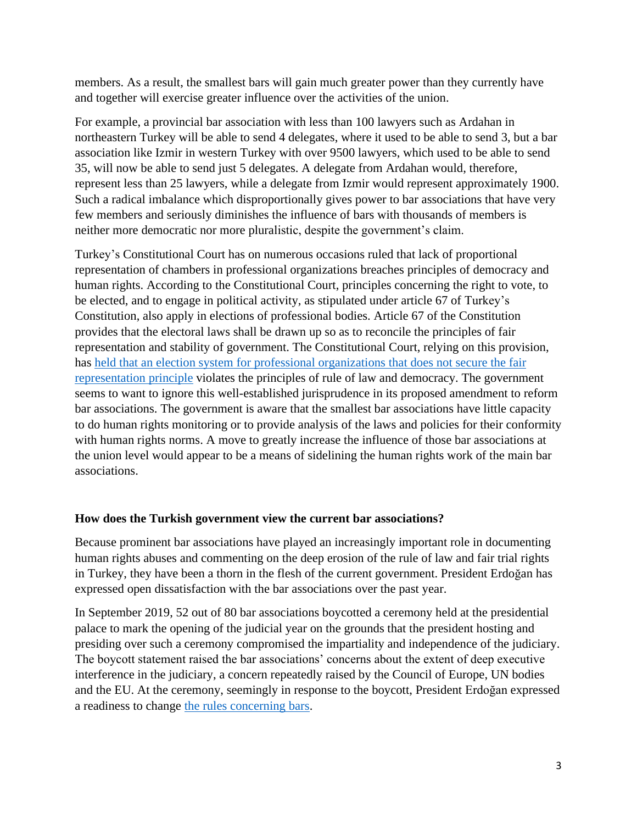members. As a result, the smallest bars will gain much greater power than they currently have and together will exercise greater influence over the activities of the union.

For example, a provincial bar association with less than 100 lawyers such as Ardahan in northeastern Turkey will be able to send 4 delegates, where it used to be able to send 3, but a bar association like Izmir in western Turkey with over 9500 lawyers, which used to be able to send 35, will now be able to send just 5 delegates. A delegate from Ardahan would, therefore, represent less than 25 lawyers, while a delegate from Izmir would represent approximately 1900. Such a radical imbalance which disproportionally gives power to bar associations that have very few members and seriously diminishes the influence of bars with thousands of members is neither more democratic nor more pluralistic, despite the government's claim.

Turkey's Constitutional Court has on numerous occasions ruled that lack of proportional representation of chambers in professional organizations breaches principles of democracy and human rights. According to the Constitutional Court, principles concerning the right to vote, to be elected, and to engage in political activity, as stipulated under article 67 of Turkey's Constitution, also apply in elections of professional bodies. Article 67 of the Constitution provides that the electoral laws shall be drawn up so as to reconcile the principles of fair representation and stability of government. The Constitutional Court, relying on this provision, has held that an election system [for professional organizations that does](https://normkararlarbilgibankasi.anayasa.gov.tr/ND/2011/146?EsasNo=2011%2F55) not secure the fair [representation principle](https://normkararlarbilgibankasi.anayasa.gov.tr/ND/2011/146?EsasNo=2011%2F55) violates the principles of rule of law and democracy. The government seems to want to ignore this well-established jurisprudence in its proposed amendment to reform bar associations. The government is aware that the smallest bar associations have little capacity to do human rights monitoring or to provide analysis of the laws and policies for their conformity with human rights norms. A move to greatly increase the influence of those bar associations at the union level would appear to be a means of sidelining the human rights work of the main bar associations.

## **How does the Turkish government view the current bar associations?**

Because prominent bar associations have played an increasingly important role in documenting human rights abuses and commenting on the deep erosion of the rule of law and fair trial rights in Turkey, they have been a thorn in the flesh of the current government. President Erdoğan has expressed open dissatisfaction with the bar associations over the past year.

In September 2019, 52 out of 80 bar associations boycotted a ceremony held at the presidential palace to mark the opening of the judicial year on the grounds that the president hosting and presiding over such a ceremony compromised the impartiality and independence of the judiciary. The boycott statement raised the bar associations' concerns about the extent of deep executive interference in the judiciary, a concern repeatedly raised by the Council of Europe, UN bodies and the EU. At the ceremony, seemingly in response to the boycott, President Erdoğan expressed a readiness to change [the rules concerning bars.](https://www.evrensel.net/daily/385961/erdogan-gives-signals-of-interference-in-bar-association-elections)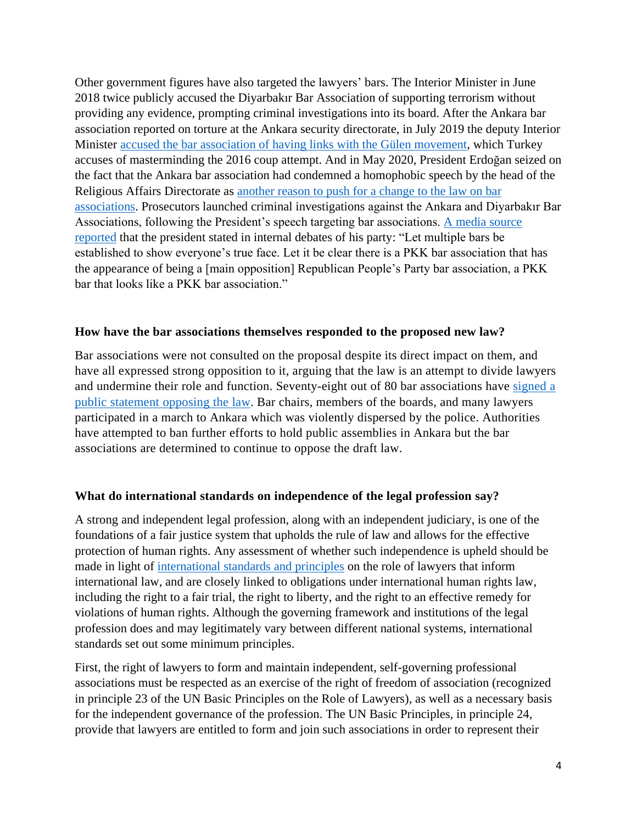Other government figures have also targeted the lawyers' bars. The Interior Minister in June 2018 twice publicly accused the Diyarbakır Bar Association of supporting terrorism without providing any evidence, prompting criminal investigations into its board. After the Ankara bar association reported on torture at the Ankara security directorate, in July 2019 the deputy Interior Minister [accused the bar association of having links with the Gülen movement,](https://www.gazeteduvar.com.tr/gundem/2019/07/11/ankara-barosu-iskence-raporuna-feto-suclamasi/) which Turkey accuses of masterminding the 2016 coup attempt. And in May 2020, President Erdoğan seized on the fact that the Ankara bar association had condemned a homophobic speech by the head of the Religious Affairs Directorate as [another reason to push for a change to the law on bar](http://bianet.org/english/lgbti/223862-erdogan-hints-changes-in-bar-associations-after-lgbti-row-with-religion-authority)  [associations.](http://bianet.org/english/lgbti/223862-erdogan-hints-changes-in-bar-associations-after-lgbti-row-with-religion-authority) Prosecutors launched criminal investigations against the Ankara and Diyarbakır Bar Associations, following the President's speech targeting bar associations. [A media source](https://www.hurriyet.com.tr/yazarlar/abdulkadir-selvi/ayasofya-konusu-ciddi-41535988)  [reported](https://www.hurriyet.com.tr/yazarlar/abdulkadir-selvi/ayasofya-konusu-ciddi-41535988) that the president stated in internal debates of his party: "Let multiple bars be established to show everyone's true face. Let it be clear there is a PKK bar association that has the appearance of being a [main opposition] Republican People's Party bar association, a PKK bar that looks like a PKK bar association."

### **How have the bar associations themselves responded to the proposed new law?**

Bar associations were not consulted on the proposal despite its direct impact on them, and have all expressed strong opposition to it, arguing that the law is an attempt to divide lawyers and undermine their role and function. Seventy-eight out of 80 bar associations have [signed](https://www.cumhuriyet.com.tr/haber/78-barodan-tarihi-cagri-barolar-yikildiginda-herkes-kimsesiz-kalacak-1748270) a public [statement](https://www.cumhuriyet.com.tr/haber/78-barodan-tarihi-cagri-barolar-yikildiginda-herkes-kimsesiz-kalacak-1748270) opposing the law. Bar chairs, members of the boards, and many lawyers participated in a march to Ankara which was violently dispersed by the police. Authorities have attempted to ban further efforts to hold public assemblies in Ankara but the bar associations are determined to continue to oppose the draft law.

#### **What do international standards on independence of the legal profession say?**

A strong and independent legal profession, along with an independent judiciary, is one of the foundations of a fair justice system that upholds the rule of law and allows for the effective protection of human rights. Any assessment of whether such independence is upheld should be made in light of international [standards and principles](https://www.icj.org/themes/centre-for-the-independence-of-judges-and-lawyers/international-standards/) on the role of lawyers that inform international law, and are closely linked to obligations under international human rights law, including the right to a fair trial, the right to liberty, and the right to an effective remedy for violations of human rights. Although the governing framework and institutions of the legal profession does and may legitimately vary between different national systems, international standards set out some minimum principles.

First, the right of lawyers to form and maintain independent, self-governing professional associations must be respected as an exercise of the right of freedom of association (recognized in principle 23 of the UN Basic Principles on the Role of Lawyers), as well as a necessary basis for the independent governance of the profession. The UN Basic Principles, in principle 24, provide that lawyers are entitled to form and join such associations in order to represent their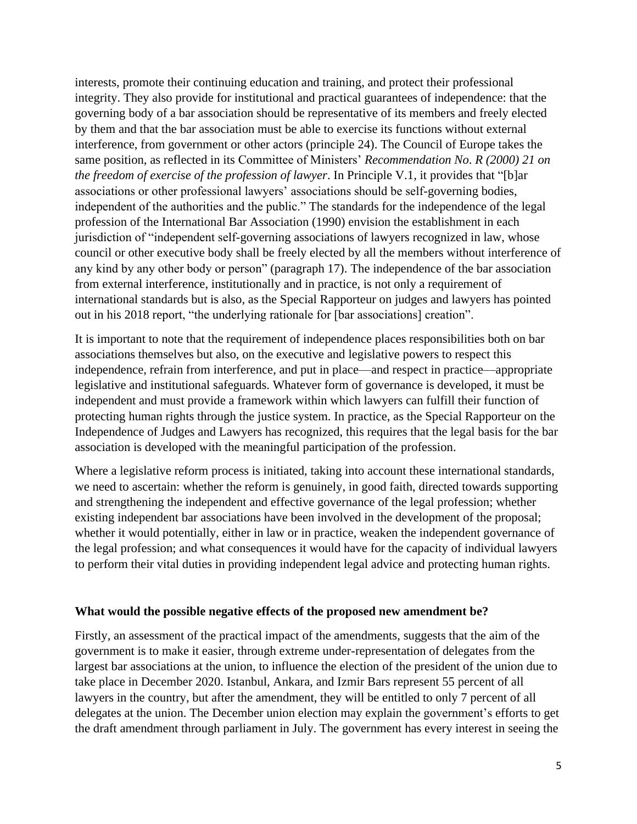interests, promote their continuing education and training, and protect their professional integrity. They also provide for institutional and practical guarantees of independence: that the governing body of a bar association should be representative of its members and freely elected by them and that the bar association must be able to exercise its functions without external interference, from government or other actors (principle 24). The Council of Europe takes the same position, as reflected in its Committee of Ministers' *Recommendation No*. *R (2000) 21 on the freedom of exercise of the profession of lawyer*. In Principle V.1, it provides that "[b]ar associations or other professional lawyers' associations should be self-governing bodies, independent of the authorities and the public." The standards for the independence of the legal profession of the International Bar Association (1990) envision the establishment in each jurisdiction of "independent self-governing associations of lawyers recognized in law, whose council or other executive body shall be freely elected by all the members without interference of any kind by any other body or person" (paragraph 17). The independence of the bar association from external interference, institutionally and in practice, is not only a requirement of international standards but is also, as the Special Rapporteur on judges and lawyers has pointed out in his 2018 report, "the underlying rationale for [bar associations] creation".

It is important to note that the requirement of independence places responsibilities both on bar associations themselves but also, on the executive and legislative powers to respect this independence, refrain from interference, and put in place—and respect in practice—appropriate legislative and institutional safeguards. Whatever form of governance is developed, it must be independent and must provide a framework within which lawyers can fulfill their function of protecting human rights through the justice system. In practice, as the Special Rapporteur on the Independence of Judges and Lawyers has recognized, this requires that the legal basis for the bar association is developed with the meaningful participation of the profession.

Where a legislative reform process is initiated, taking into account these international standards, we need to ascertain: whether the reform is genuinely, in good faith, directed towards supporting and strengthening the independent and effective governance of the legal profession; whether existing independent bar associations have been involved in the development of the proposal; whether it would potentially, either in law or in practice, weaken the independent governance of the legal profession; and what consequences it would have for the capacity of individual lawyers to perform their vital duties in providing independent legal advice and protecting human rights.

#### **What would the possible negative effects of the proposed new amendment be?**

Firstly, an assessment of the practical impact of the amendments, suggests that the aim of the government is to make it easier, through extreme under-representation of delegates from the largest bar associations at the union, to influence the election of the president of the union due to take place in December 2020. Istanbul, Ankara, and Izmir Bars represent 55 percent of all lawyers in the country, but after the amendment, they will be entitled to only 7 percent of all delegates at the union. The December union election may explain the government's efforts to get the draft amendment through parliament in July. The government has every interest in seeing the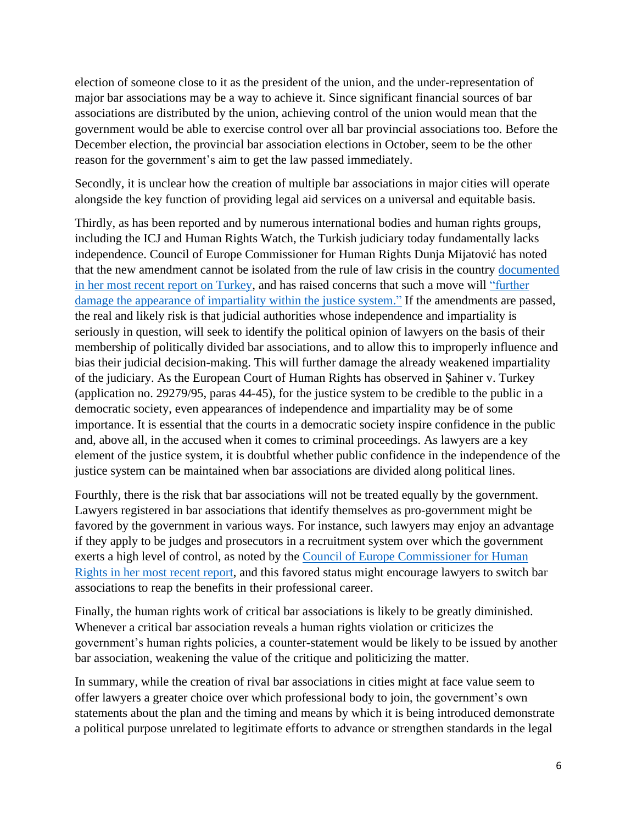election of someone close to it as the president of the union, and the under-representation of major bar associations may be a way to achieve it. Since significant financial sources of bar associations are distributed by the union, achieving control of the union would mean that the government would be able to exercise control over all bar provincial associations too. Before the December election, the provincial bar association elections in October, seem to be the other reason for the government's aim to get the law passed immediately.

Secondly, it is unclear how the creation of multiple bar associations in major cities will operate alongside the key function of providing legal aid services on a universal and equitable basis.

Thirdly, as has been reported and by numerous international bodies and human rights groups, including the ICJ and Human Rights Watch, the Turkish judiciary today fundamentally lacks independence. Council of Europe Commissioner for Human Rights Dunja Mijatović has noted that the new amendment cannot be isolated from the rule of law crisis in the country [documented](https://www.coe.int/en/web/commissioner/-/turkish-authorities-must-restore-judicial-independence-and-stop-targeting-and-silencing-human-rights-defenders)  [in her most recent report on Turkey,](https://www.coe.int/en/web/commissioner/-/turkish-authorities-must-restore-judicial-independence-and-stop-targeting-and-silencing-human-rights-defenders) and has raised concerns that such a move will ["further](https://www.facebook.com/CommissionerHR/posts/1589924127850158)  [damage the appearance of impartiality within the justice system."](https://www.facebook.com/CommissionerHR/posts/1589924127850158) If the amendments are passed, the real and likely risk is that judicial authorities whose independence and impartiality is seriously in question, will seek to identify the political opinion of lawyers on the basis of their membership of politically divided bar associations, and to allow this to improperly influence and bias their judicial decision-making. This will further damage the already weakened impartiality of the judiciary. As the European Court of Human Rights has observed in Şahiner v. Turkey (application no. 29279/95, paras 44-45), for the justice system to be credible to the public in a democratic society, even appearances of independence and impartiality may be of some importance. It is essential that the courts in a democratic society inspire confidence in the public and, above all, in the accused when it comes to criminal proceedings. As lawyers are a key element of the justice system, it is doubtful whether public confidence in the independence of the justice system can be maintained when bar associations are divided along political lines.

Fourthly, there is the risk that bar associations will not be treated equally by the government. Lawyers registered in bar associations that identify themselves as pro-government might be favored by the government in various ways. For instance, such lawyers may enjoy an advantage if they apply to be judges and prosecutors in a recruitment system over which the government exerts a high level of control, as noted by the [Council of Europe Commissioner for Human](https://rm.coe.int/report-on-the-visit-to-turkey-by-dunja-mijatovic-council-of-europe-com/168099823e)  [Rights in her most recent report,](https://rm.coe.int/report-on-the-visit-to-turkey-by-dunja-mijatovic-council-of-europe-com/168099823e) and this favored status might encourage lawyers to switch bar associations to reap the benefits in their professional career.

Finally, the human rights work of critical bar associations is likely to be greatly diminished. Whenever a critical bar association reveals a human rights violation or criticizes the government's human rights policies, a counter-statement would be likely to be issued by another bar association, weakening the value of the critique and politicizing the matter.

In summary, while the creation of rival bar associations in cities might at face value seem to offer lawyers a greater choice over which professional body to join, the government's own statements about the plan and the timing and means by which it is being introduced demonstrate a political purpose unrelated to legitimate efforts to advance or strengthen standards in the legal